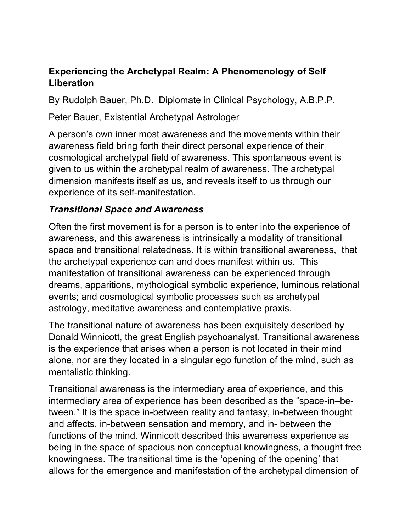### **Experiencing the Archetypal Realm: A Phenomenology of Self Liberation**

By Rudolph Bauer, Ph.D. Diplomate in Clinical Psychology, A.B.P.P.

Peter Bauer, Existential Archetypal Astrologer

A person's own inner most awareness and the movements within their awareness field bring forth their direct personal experience of their cosmological archetypal field of awareness. This spontaneous event is given to us within the archetypal realm of awareness. The archetypal dimension manifests itself as us, and reveals itself to us through our experience of its self-manifestation.

## *Transitional Space and Awareness*

Often the first movement is for a person is to enter into the experience of awareness, and this awareness is intrinsically a modality of transitional space and transitional relatedness. It is within transitional awareness, that the archetypal experience can and does manifest within us. This manifestation of transitional awareness can be experienced through dreams, apparitions, mythological symbolic experience, luminous relational events; and cosmological symbolic processes such as archetypal astrology, meditative awareness and contemplative praxis.

The transitional nature of awareness has been exquisitely described by Donald Winnicott, the great English psychoanalyst. Transitional awareness is the experience that arises when a person is not located in their mind alone, nor are they located in a singular ego function of the mind, such as mentalistic thinking.

Transitional awareness is the intermediary area of experience, and this intermediary area of experience has been described as the "space-in–between." It is the space in-between reality and fantasy, in-between thought and affects, in-between sensation and memory, and in- between the functions of the mind. Winnicott described this awareness experience as being in the space of spacious non conceptual knowingness, a thought free knowingness. The transitional time is the 'opening of the opening' that allows for the emergence and manifestation of the archetypal dimension of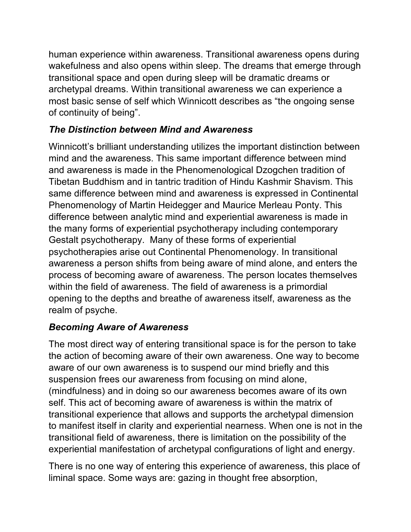human experience within awareness. Transitional awareness opens during wakefulness and also opens within sleep. The dreams that emerge through transitional space and open during sleep will be dramatic dreams or archetypal dreams. Within transitional awareness we can experience a most basic sense of self which Winnicott describes as "the ongoing sense of continuity of being".

# *The Distinction between Mind and Awareness*

Winnicott's brilliant understanding utilizes the important distinction between mind and the awareness. This same important difference between mind and awareness is made in the Phenomenological Dzogchen tradition of Tibetan Buddhism and in tantric tradition of Hindu Kashmir Shavism. This same difference between mind and awareness is expressed in Continental Phenomenology of Martin Heidegger and Maurice Merleau Ponty. This difference between analytic mind and experiential awareness is made in the many forms of experiential psychotherapy including contemporary Gestalt psychotherapy. Many of these forms of experiential psychotherapies arise out Continental Phenomenology. In transitional awareness a person shifts from being aware of mind alone, and enters the process of becoming aware of awareness. The person locates themselves within the field of awareness. The field of awareness is a primordial opening to the depths and breathe of awareness itself, awareness as the realm of psyche.

# *Becoming Aware of Awareness*

The most direct way of entering transitional space is for the person to take the action of becoming aware of their own awareness. One way to become aware of our own awareness is to suspend our mind briefly and this suspension frees our awareness from focusing on mind alone, (mindfulness) and in doing so our awareness becomes aware of its own self. This act of becoming aware of awareness is within the matrix of transitional experience that allows and supports the archetypal dimension to manifest itself in clarity and experiential nearness. When one is not in the transitional field of awareness, there is limitation on the possibility of the experiential manifestation of archetypal configurations of light and energy.

There is no one way of entering this experience of awareness, this place of liminal space. Some ways are: gazing in thought free absorption,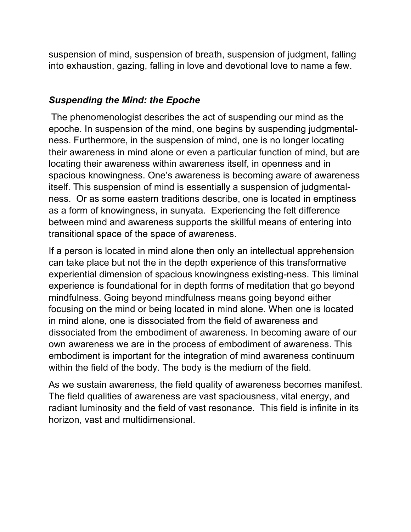suspension of mind, suspension of breath, suspension of judgment, falling into exhaustion, gazing, falling in love and devotional love to name a few.

## *Suspending the Mind: the Epoche*

The phenomenologist describes the act of suspending our mind as the epoche. In suspension of the mind, one begins by suspending judgmentalness. Furthermore, in the suspension of mind, one is no longer locating their awareness in mind alone or even a particular function of mind, but are locating their awareness within awareness itself, in openness and in spacious knowingness. One's awareness is becoming aware of awareness itself. This suspension of mind is essentially a suspension of judgmentalness. Or as some eastern traditions describe, one is located in emptiness as a form of knowingness, in sunyata. Experiencing the felt difference between mind and awareness supports the skillful means of entering into transitional space of the space of awareness.

If a person is located in mind alone then only an intellectual apprehension can take place but not the in the depth experience of this transformative experiential dimension of spacious knowingness existing-ness. This liminal experience is foundational for in depth forms of meditation that go beyond mindfulness. Going beyond mindfulness means going beyond either focusing on the mind or being located in mind alone. When one is located in mind alone, one is dissociated from the field of awareness and dissociated from the embodiment of awareness. In becoming aware of our own awareness we are in the process of embodiment of awareness. This embodiment is important for the integration of mind awareness continuum within the field of the body. The body is the medium of the field.

As we sustain awareness, the field quality of awareness becomes manifest. The field qualities of awareness are vast spaciousness, vital energy, and radiant luminosity and the field of vast resonance. This field is infinite in its horizon, vast and multidimensional.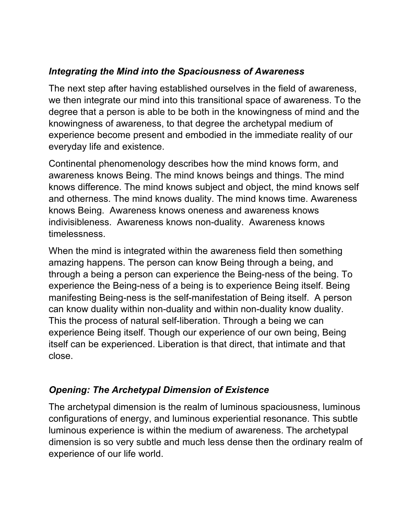## *Integrating the Mind into the Spaciousness of Awareness*

The next step after having established ourselves in the field of awareness, we then integrate our mind into this transitional space of awareness. To the degree that a person is able to be both in the knowingness of mind and the knowingness of awareness, to that degree the archetypal medium of experience become present and embodied in the immediate reality of our everyday life and existence.

Continental phenomenology describes how the mind knows form, and awareness knows Being. The mind knows beings and things. The mind knows difference. The mind knows subject and object, the mind knows self and otherness. The mind knows duality. The mind knows time. Awareness knows Being. Awareness knows oneness and awareness knows indivisibleness. Awareness knows non-duality. Awareness knows timelessness.

When the mind is integrated within the awareness field then something amazing happens. The person can know Being through a being, and through a being a person can experience the Being-ness of the being. To experience the Being-ness of a being is to experience Being itself. Being manifesting Being-ness is the self-manifestation of Being itself. A person can know duality within non-duality and within non-duality know duality. This the process of natural self-liberation. Through a being we can experience Being itself. Though our experience of our own being, Being itself can be experienced. Liberation is that direct, that intimate and that close.

## *Opening: The Archetypal Dimension of Existence*

The archetypal dimension is the realm of luminous spaciousness, luminous configurations of energy, and luminous experiential resonance. This subtle luminous experience is within the medium of awareness. The archetypal dimension is so very subtle and much less dense then the ordinary realm of experience of our life world.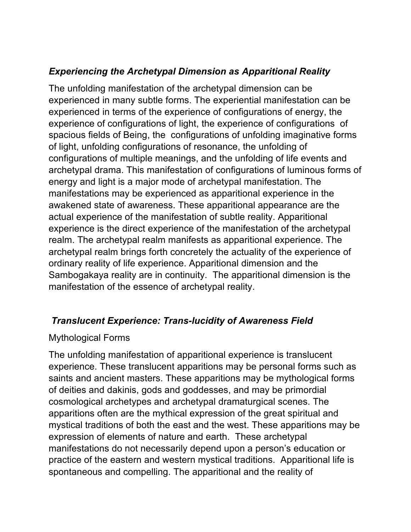## *Experiencing the Archetypal Dimension as Apparitional Reality*

The unfolding manifestation of the archetypal dimension can be experienced in many subtle forms. The experiential manifestation can be experienced in terms of the experience of configurations of energy, the experience of configurations of light, the experience of configurations of spacious fields of Being, the configurations of unfolding imaginative forms of light, unfolding configurations of resonance, the unfolding of configurations of multiple meanings, and the unfolding of life events and archetypal drama. This manifestation of configurations of luminous forms of energy and light is a major mode of archetypal manifestation. The manifestations may be experienced as apparitional experience in the awakened state of awareness. These apparitional appearance are the actual experience of the manifestation of subtle reality. Apparitional experience is the direct experience of the manifestation of the archetypal realm. The archetypal realm manifests as apparitional experience. The archetypal realm brings forth concretely the actuality of the experience of ordinary reality of life experience. Apparitional dimension and the Sambogakaya reality are in continuity. The apparitional dimension is the manifestation of the essence of archetypal reality.

## *Translucent Experience: Trans-lucidity of Awareness Field*

#### Mythological Forms

The unfolding manifestation of apparitional experience is translucent experience. These translucent apparitions may be personal forms such as saints and ancient masters. These apparitions may be mythological forms of deities and dakinis, gods and goddesses, and may be primordial cosmological archetypes and archetypal dramaturgical scenes. The apparitions often are the mythical expression of the great spiritual and mystical traditions of both the east and the west. These apparitions may be expression of elements of nature and earth. These archetypal manifestations do not necessarily depend upon a person's education or practice of the eastern and western mystical traditions. Apparitional life is spontaneous and compelling. The apparitional and the reality of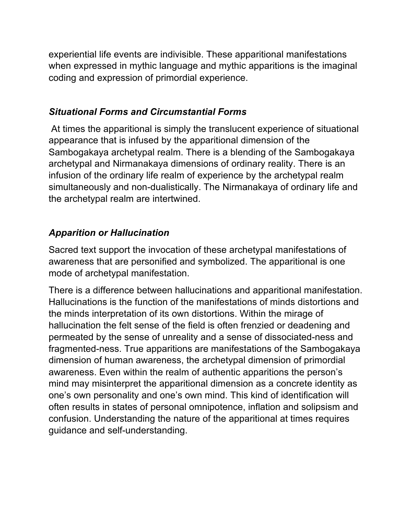experiential life events are indivisible. These apparitional manifestations when expressed in mythic language and mythic apparitions is the imaginal coding and expression of primordial experience.

## *Situational Forms and Circumstantial Forms*

At times the apparitional is simply the translucent experience of situational appearance that is infused by the apparitional dimension of the Sambogakaya archetypal realm. There is a blending of the Sambogakaya archetypal and Nirmanakaya dimensions of ordinary reality. There is an infusion of the ordinary life realm of experience by the archetypal realm simultaneously and non-dualistically. The Nirmanakaya of ordinary life and the archetypal realm are intertwined.

## *Apparition or Hallucination*

Sacred text support the invocation of these archetypal manifestations of awareness that are personified and symbolized. The apparitional is one mode of archetypal manifestation.

There is a difference between hallucinations and apparitional manifestation. Hallucinations is the function of the manifestations of minds distortions and the minds interpretation of its own distortions. Within the mirage of hallucination the felt sense of the field is often frenzied or deadening and permeated by the sense of unreality and a sense of dissociated-ness and fragmented-ness. True apparitions are manifestations of the Sambogakaya dimension of human awareness, the archetypal dimension of primordial awareness. Even within the realm of authentic apparitions the person's mind may misinterpret the apparitional dimension as a concrete identity as one's own personality and one's own mind. This kind of identification will often results in states of personal omnipotence, inflation and solipsism and confusion. Understanding the nature of the apparitional at times requires guidance and self-understanding.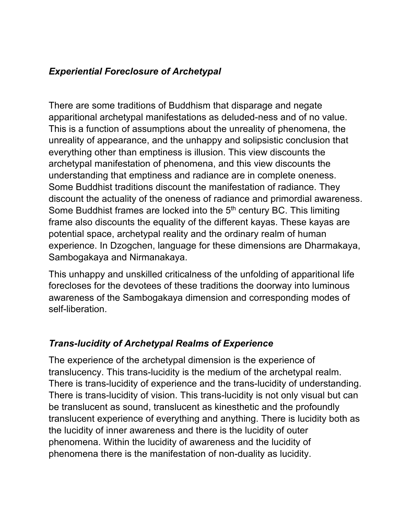### *Experiential Foreclosure of Archetypal*

There are some traditions of Buddhism that disparage and negate apparitional archetypal manifestations as deluded-ness and of no value. This is a function of assumptions about the unreality of phenomena, the unreality of appearance, and the unhappy and solipsistic conclusion that everything other than emptiness is illusion. This view discounts the archetypal manifestation of phenomena, and this view discounts the understanding that emptiness and radiance are in complete oneness. Some Buddhist traditions discount the manifestation of radiance. They discount the actuality of the oneness of radiance and primordial awareness. Some Buddhist frames are locked into the 5<sup>th</sup> century BC. This limiting frame also discounts the equality of the different kayas. These kayas are potential space, archetypal reality and the ordinary realm of human experience. In Dzogchen, language for these dimensions are Dharmakaya, Sambogakaya and Nirmanakaya.

This unhappy and unskilled criticalness of the unfolding of apparitional life forecloses for the devotees of these traditions the doorway into luminous awareness of the Sambogakaya dimension and corresponding modes of self-liberation.

## *Trans-lucidity of Archetypal Realms of Experience*

The experience of the archetypal dimension is the experience of translucency. This trans-lucidity is the medium of the archetypal realm. There is trans-lucidity of experience and the trans-lucidity of understanding. There is trans-lucidity of vision. This trans-lucidity is not only visual but can be translucent as sound, translucent as kinesthetic and the profoundly translucent experience of everything and anything. There is lucidity both as the lucidity of inner awareness and there is the lucidity of outer phenomena. Within the lucidity of awareness and the lucidity of phenomena there is the manifestation of non-duality as lucidity.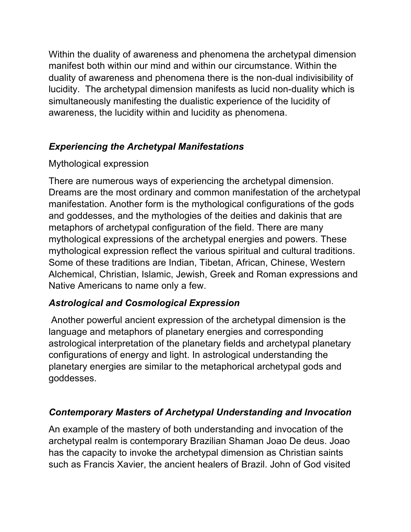Within the duality of awareness and phenomena the archetypal dimension manifest both within our mind and within our circumstance. Within the duality of awareness and phenomena there is the non-dual indivisibility of lucidity. The archetypal dimension manifests as lucid non-duality which is simultaneously manifesting the dualistic experience of the lucidity of awareness, the lucidity within and lucidity as phenomena.

# *Experiencing the Archetypal Manifestations*

## Mythological expression

There are numerous ways of experiencing the archetypal dimension. Dreams are the most ordinary and common manifestation of the archetypal manifestation. Another form is the mythological configurations of the gods and goddesses, and the mythologies of the deities and dakinis that are metaphors of archetypal configuration of the field. There are many mythological expressions of the archetypal energies and powers. These mythological expression reflect the various spiritual and cultural traditions. Some of these traditions are Indian, Tibetan, African, Chinese, Western Alchemical, Christian, Islamic, Jewish, Greek and Roman expressions and Native Americans to name only a few.

# *Astrological and Cosmological Expression*

Another powerful ancient expression of the archetypal dimension is the language and metaphors of planetary energies and corresponding astrological interpretation of the planetary fields and archetypal planetary configurations of energy and light. In astrological understanding the planetary energies are similar to the metaphorical archetypal gods and goddesses.

# *Contemporary Masters of Archetypal Understanding and Invocation*

An example of the mastery of both understanding and invocation of the archetypal realm is contemporary Brazilian Shaman Joao De deus. Joao has the capacity to invoke the archetypal dimension as Christian saints such as Francis Xavier, the ancient healers of Brazil. John of God visited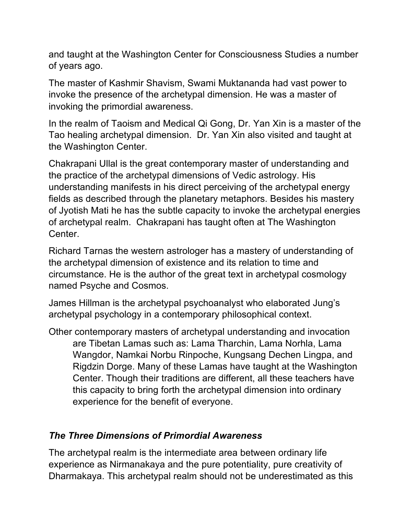and taught at the Washington Center for Consciousness Studies a number of years ago.

The master of Kashmir Shavism, Swami Muktananda had vast power to invoke the presence of the archetypal dimension. He was a master of invoking the primordial awareness.

In the realm of Taoism and Medical Qi Gong, Dr. Yan Xin is a master of the Tao healing archetypal dimension. Dr. Yan Xin also visited and taught at the Washington Center.

Chakrapani Ullal is the great contemporary master of understanding and the practice of the archetypal dimensions of Vedic astrology. His understanding manifests in his direct perceiving of the archetypal energy fields as described through the planetary metaphors. Besides his mastery of Jyotish Mati he has the subtle capacity to invoke the archetypal energies of archetypal realm. Chakrapani has taught often at The Washington Center.

Richard Tarnas the western astrologer has a mastery of understanding of the archetypal dimension of existence and its relation to time and circumstance. He is the author of the great text in archetypal cosmology named Psyche and Cosmos.

James Hillman is the archetypal psychoanalyst who elaborated Jung's archetypal psychology in a contemporary philosophical context.

Other contemporary masters of archetypal understanding and invocation are Tibetan Lamas such as: Lama Tharchin, Lama Norhla, Lama Wangdor, Namkai Norbu Rinpoche, Kungsang Dechen Lingpa, and Rigdzin Dorge. Many of these Lamas have taught at the Washington Center. Though their traditions are different, all these teachers have this capacity to bring forth the archetypal dimension into ordinary experience for the benefit of everyone.

## *The Three Dimensions of Primordial Awareness*

The archetypal realm is the intermediate area between ordinary life experience as Nirmanakaya and the pure potentiality, pure creativity of Dharmakaya. This archetypal realm should not be underestimated as this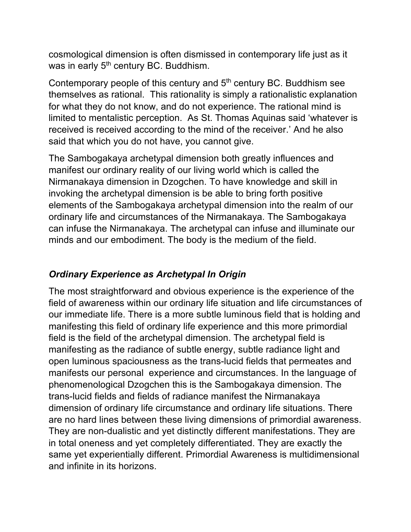cosmological dimension is often dismissed in contemporary life just as it was in early 5<sup>th</sup> century BC. Buddhism.

Contemporary people of this century and  $5<sup>th</sup>$  century BC. Buddhism see themselves as rational. This rationality is simply a rationalistic explanation for what they do not know, and do not experience. The rational mind is limited to mentalistic perception. As St. Thomas Aquinas said 'whatever is received is received according to the mind of the receiver.' And he also said that which you do not have, you cannot give.

The Sambogakaya archetypal dimension both greatly influences and manifest our ordinary reality of our living world which is called the Nirmanakaya dimension in Dzogchen. To have knowledge and skill in invoking the archetypal dimension is be able to bring forth positive elements of the Sambogakaya archetypal dimension into the realm of our ordinary life and circumstances of the Nirmanakaya. The Sambogakaya can infuse the Nirmanakaya. The archetypal can infuse and illuminate our minds and our embodiment. The body is the medium of the field.

## *Ordinary Experience as Archetypal In Origin*

The most straightforward and obvious experience is the experience of the field of awareness within our ordinary life situation and life circumstances of our immediate life. There is a more subtle luminous field that is holding and manifesting this field of ordinary life experience and this more primordial field is the field of the archetypal dimension. The archetypal field is manifesting as the radiance of subtle energy, subtle radiance light and open luminous spaciousness as the trans-lucid fields that permeates and manifests our personal experience and circumstances. In the language of phenomenological Dzogchen this is the Sambogakaya dimension. The trans-lucid fields and fields of radiance manifest the Nirmanakaya dimension of ordinary life circumstance and ordinary life situations. There are no hard lines between these living dimensions of primordial awareness. They are non-dualistic and yet distinctly different manifestations. They are in total oneness and yet completely differentiated. They are exactly the same yet experientially different. Primordial Awareness is multidimensional and infinite in its horizons.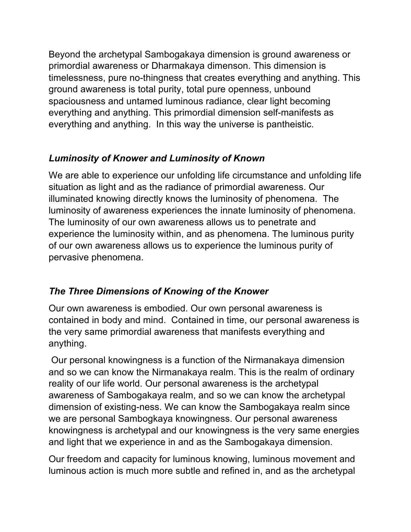Beyond the archetypal Sambogakaya dimension is ground awareness or primordial awareness or Dharmakaya dimenson. This dimension is timelessness, pure no-thingness that creates everything and anything. This ground awareness is total purity, total pure openness, unbound spaciousness and untamed luminous radiance, clear light becoming everything and anything. This primordial dimension self-manifests as everything and anything. In this way the universe is pantheistic.

# *Luminosity of Knower and Luminosity of Known*

We are able to experience our unfolding life circumstance and unfolding life situation as light and as the radiance of primordial awareness. Our illuminated knowing directly knows the luminosity of phenomena. The luminosity of awareness experiences the innate luminosity of phenomena. The luminosity of our own awareness allows us to penetrate and experience the luminosity within, and as phenomena. The luminous purity of our own awareness allows us to experience the luminous purity of pervasive phenomena.

# *The Three Dimensions of Knowing of the Knower*

Our own awareness is embodied. Our own personal awareness is contained in body and mind. Contained in time, our personal awareness is the very same primordial awareness that manifests everything and anything.

Our personal knowingness is a function of the Nirmanakaya dimension and so we can know the Nirmanakaya realm. This is the realm of ordinary reality of our life world. Our personal awareness is the archetypal awareness of Sambogakaya realm, and so we can know the archetypal dimension of existing-ness. We can know the Sambogakaya realm since we are personal Sambogkaya knowingness. Our personal awareness knowingness is archetypal and our knowingness is the very same energies and light that we experience in and as the Sambogakaya dimension.

Our freedom and capacity for luminous knowing, luminous movement and luminous action is much more subtle and refined in, and as the archetypal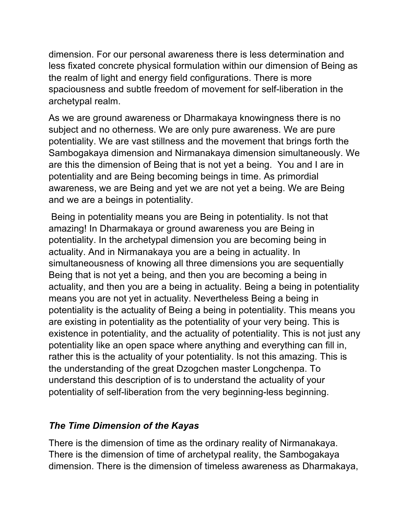dimension. For our personal awareness there is less determination and less fixated concrete physical formulation within our dimension of Being as the realm of light and energy field configurations. There is more spaciousness and subtle freedom of movement for self-liberation in the archetypal realm.

As we are ground awareness or Dharmakaya knowingness there is no subject and no otherness. We are only pure awareness. We are pure potentiality. We are vast stillness and the movement that brings forth the Sambogakaya dimension and Nirmanakaya dimension simultaneously. We are this the dimension of Being that is not yet a being. You and I are in potentiality and are Being becoming beings in time. As primordial awareness, we are Being and yet we are not yet a being. We are Being and we are a beings in potentiality.

Being in potentiality means you are Being in potentiality. Is not that amazing! In Dharmakaya or ground awareness you are Being in potentiality. In the archetypal dimension you are becoming being in actuality. And in Nirmanakaya you are a being in actuality. In simultaneousness of knowing all three dimensions you are sequentially Being that is not yet a being, and then you are becoming a being in actuality, and then you are a being in actuality. Being a being in potentiality means you are not yet in actuality. Nevertheless Being a being in potentiality is the actuality of Being a being in potentiality. This means you are existing in potentiality as the potentiality of your very being. This is existence in potentiality, and the actuality of potentiality. This is not just any potentiality like an open space where anything and everything can fill in, rather this is the actuality of your potentiality. Is not this amazing. This is the understanding of the great Dzogchen master Longchenpa. To understand this description of is to understand the actuality of your potentiality of self-liberation from the very beginning-less beginning.

## *The Time Dimension of the Kayas*

There is the dimension of time as the ordinary reality of Nirmanakaya. There is the dimension of time of archetypal reality, the Sambogakaya dimension. There is the dimension of timeless awareness as Dharmakaya,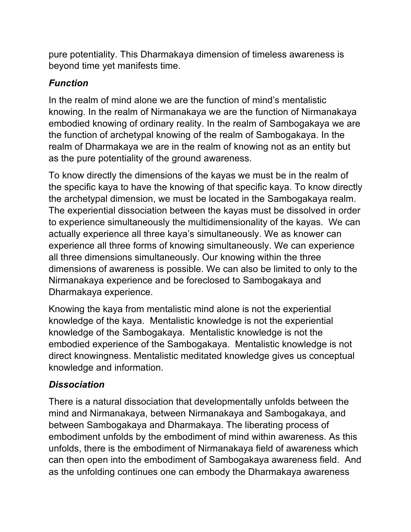pure potentiality. This Dharmakaya dimension of timeless awareness is beyond time yet manifests time.

# *Function*

In the realm of mind alone we are the function of mind's mentalistic knowing. In the realm of Nirmanakaya we are the function of Nirmanakaya embodied knowing of ordinary reality. In the realm of Sambogakaya we are the function of archetypal knowing of the realm of Sambogakaya. In the realm of Dharmakaya we are in the realm of knowing not as an entity but as the pure potentiality of the ground awareness.

To know directly the dimensions of the kayas we must be in the realm of the specific kaya to have the knowing of that specific kaya. To know directly the archetypal dimension, we must be located in the Sambogakaya realm. The experiential dissociation between the kayas must be dissolved in order to experience simultaneously the multidimensionality of the kayas. We can actually experience all three kaya's simultaneously. We as knower can experience all three forms of knowing simultaneously. We can experience all three dimensions simultaneously. Our knowing within the three dimensions of awareness is possible. We can also be limited to only to the Nirmanakaya experience and be foreclosed to Sambogakaya and Dharmakaya experience.

Knowing the kaya from mentalistic mind alone is not the experiential knowledge of the kaya. Mentalistic knowledge is not the experiential knowledge of the Sambogakaya. Mentalistic knowledge is not the embodied experience of the Sambogakaya. Mentalistic knowledge is not direct knowingness. Mentalistic meditated knowledge gives us conceptual knowledge and information.

## *Dissociation*

There is a natural dissociation that developmentally unfolds between the mind and Nirmanakaya, between Nirmanakaya and Sambogakaya, and between Sambogakaya and Dharmakaya. The liberating process of embodiment unfolds by the embodiment of mind within awareness. As this unfolds, there is the embodiment of Nirmanakaya field of awareness which can then open into the embodiment of Sambogakaya awareness field. And as the unfolding continues one can embody the Dharmakaya awareness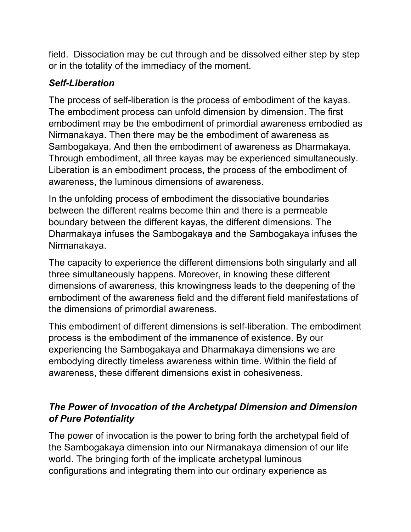field. Dissociation may be cut through and be dissolved either step by step or in the totality of the immediacy of the moment.

## *Self-Liberation*

The process of self-liberation is the process of embodiment of the kayas. The embodiment process can unfold dimension by dimension. The first embodiment may be the embodiment of primordial awareness embodied as Nirmanakaya. Then there may be the embodiment of awareness as Sambogakaya. And then the embodiment of awareness as Dharmakaya. Through embodiment, all three kayas may be experienced simultaneously. Liberation is an embodiment process, the process of the embodiment of awareness, the luminous dimensions of awareness.

In the unfolding process of embodiment the dissociative boundaries between the different realms become thin and there is a permeable boundary between the different kayas, the different dimensions. The Dharmakaya infuses the Sambogakaya and the Sambogakaya infuses the Nirmanakaya.

The capacity to experience the different dimensions both singularly and all three simultaneously happens. Moreover, in knowing these different dimensions of awareness, this knowingness leads to the deepening of the embodiment of the awareness field and the different field manifestations of the dimensions of primordial awareness.

This embodiment of different dimensions is self-liberation. The embodiment process is the embodiment of the immanence of existence. By our experiencing the Sambogakaya and Dharmakaya dimensions we are embodying directly timeless awareness within time. Within the field of awareness, these different dimensions exist in cohesiveness.

## *The Power of Invocation of the Archetypal Dimension and Dimension of Pure Potentiality*

The power of invocation is the power to bring forth the archetypal field of the Sambogakaya dimension into our Nirmanakaya dimension of our life world. The bringing forth of the implicate archetypal luminous configurations and integrating them into our ordinary experience as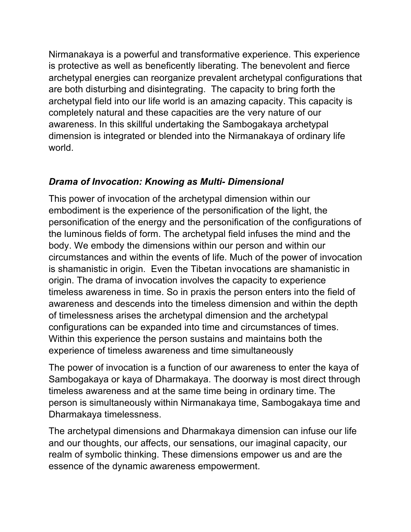Nirmanakaya is a powerful and transformative experience. This experience is protective as well as beneficently liberating. The benevolent and fierce archetypal energies can reorganize prevalent archetypal configurations that are both disturbing and disintegrating. The capacity to bring forth the archetypal field into our life world is an amazing capacity. This capacity is completely natural and these capacities are the very nature of our awareness. In this skillful undertaking the Sambogakaya archetypal dimension is integrated or blended into the Nirmanakaya of ordinary life world.

## *Drama of Invocation: Knowing as Multi- Dimensional*

This power of invocation of the archetypal dimension within our embodiment is the experience of the personification of the light, the personification of the energy and the personification of the configurations of the luminous fields of form. The archetypal field infuses the mind and the body. We embody the dimensions within our person and within our circumstances and within the events of life. Much of the power of invocation is shamanistic in origin. Even the Tibetan invocations are shamanistic in origin. The drama of invocation involves the capacity to experience timeless awareness in time. So in praxis the person enters into the field of awareness and descends into the timeless dimension and within the depth of timelessness arises the archetypal dimension and the archetypal configurations can be expanded into time and circumstances of times. Within this experience the person sustains and maintains both the experience of timeless awareness and time simultaneously

The power of invocation is a function of our awareness to enter the kaya of Sambogakaya or kaya of Dharmakaya. The doorway is most direct through timeless awareness and at the same time being in ordinary time. The person is simultaneously within Nirmanakaya time, Sambogakaya time and Dharmakaya timelessness.

The archetypal dimensions and Dharmakaya dimension can infuse our life and our thoughts, our affects, our sensations, our imaginal capacity, our realm of symbolic thinking. These dimensions empower us and are the essence of the dynamic awareness empowerment.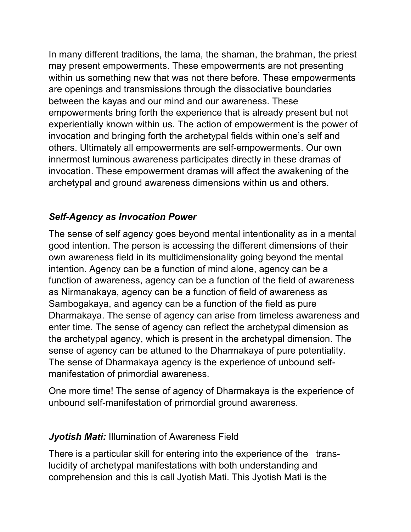In many different traditions, the lama, the shaman, the brahman, the priest may present empowerments. These empowerments are not presenting within us something new that was not there before. These empowerments are openings and transmissions through the dissociative boundaries between the kayas and our mind and our awareness. These empowerments bring forth the experience that is already present but not experientially known within us. The action of empowerment is the power of invocation and bringing forth the archetypal fields within one's self and others. Ultimately all empowerments are self-empowerments. Our own innermost luminous awareness participates directly in these dramas of invocation. These empowerment dramas will affect the awakening of the archetypal and ground awareness dimensions within us and others.

## *Self-Agency as Invocation Power*

The sense of self agency goes beyond mental intentionality as in a mental good intention. The person is accessing the different dimensions of their own awareness field in its multidimensionality going beyond the mental intention. Agency can be a function of mind alone, agency can be a function of awareness, agency can be a function of the field of awareness as Nirmanakaya, agency can be a function of field of awareness as Sambogakaya, and agency can be a function of the field as pure Dharmakaya. The sense of agency can arise from timeless awareness and enter time. The sense of agency can reflect the archetypal dimension as the archetypal agency, which is present in the archetypal dimension. The sense of agency can be attuned to the Dharmakaya of pure potentiality. The sense of Dharmakaya agency is the experience of unbound selfmanifestation of primordial awareness.

One more time! The sense of agency of Dharmakaya is the experience of unbound self-manifestation of primordial ground awareness.

#### *Jyotish Mati:* Illumination of Awareness Field

There is a particular skill for entering into the experience of the translucidity of archetypal manifestations with both understanding and comprehension and this is call Jyotish Mati. This Jyotish Mati is the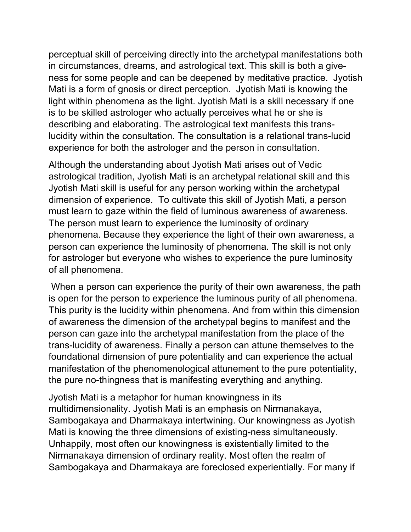perceptual skill of perceiving directly into the archetypal manifestations both in circumstances, dreams, and astrological text. This skill is both a giveness for some people and can be deepened by meditative practice. Jyotish Mati is a form of gnosis or direct perception. Jyotish Mati is knowing the light within phenomena as the light. Jyotish Mati is a skill necessary if one is to be skilled astrologer who actually perceives what he or she is describing and elaborating. The astrological text manifests this translucidity within the consultation. The consultation is a relational trans-lucid experience for both the astrologer and the person in consultation.

Although the understanding about Jyotish Mati arises out of Vedic astrological tradition, Jyotish Mati is an archetypal relational skill and this Jyotish Mati skill is useful for any person working within the archetypal dimension of experience. To cultivate this skill of Jyotish Mati, a person must learn to gaze within the field of luminous awareness of awareness. The person must learn to experience the luminosity of ordinary phenomena. Because they experience the light of their own awareness, a person can experience the luminosity of phenomena. The skill is not only for astrologer but everyone who wishes to experience the pure luminosity of all phenomena.

When a person can experience the purity of their own awareness, the path is open for the person to experience the luminous purity of all phenomena. This purity is the lucidity within phenomena. And from within this dimension of awareness the dimension of the archetypal begins to manifest and the person can gaze into the archetypal manifestation from the place of the trans-lucidity of awareness. Finally a person can attune themselves to the foundational dimension of pure potentiality and can experience the actual manifestation of the phenomenological attunement to the pure potentiality, the pure no-thingness that is manifesting everything and anything.

Jyotish Mati is a metaphor for human knowingness in its multidimensionality. Jyotish Mati is an emphasis on Nirmanakaya, Sambogakaya and Dharmakaya intertwining. Our knowingness as Jyotish Mati is knowing the three dimensions of existing-ness simultaneously. Unhappily, most often our knowingness is existentially limited to the Nirmanakaya dimension of ordinary reality. Most often the realm of Sambogakaya and Dharmakaya are foreclosed experientially. For many if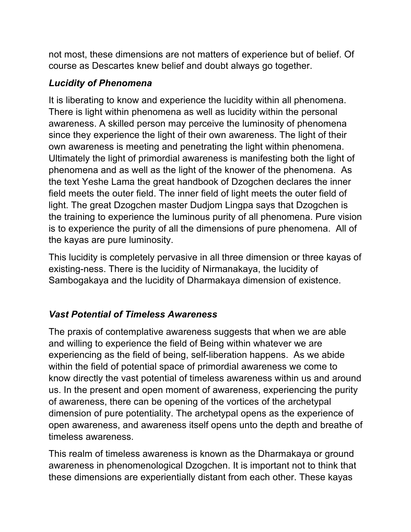not most, these dimensions are not matters of experience but of belief. Of course as Descartes knew belief and doubt always go together.

## *Lucidity of Phenomena*

It is liberating to know and experience the lucidity within all phenomena. There is light within phenomena as well as lucidity within the personal awareness. A skilled person may perceive the luminosity of phenomena since they experience the light of their own awareness. The light of their own awareness is meeting and penetrating the light within phenomena. Ultimately the light of primordial awareness is manifesting both the light of phenomena and as well as the light of the knower of the phenomena. As the text Yeshe Lama the great handbook of Dzogchen declares the inner field meets the outer field. The inner field of light meets the outer field of light. The great Dzogchen master Dudjom Lingpa says that Dzogchen is the training to experience the luminous purity of all phenomena. Pure vision is to experience the purity of all the dimensions of pure phenomena. All of the kayas are pure luminosity.

This lucidity is completely pervasive in all three dimension or three kayas of existing-ness. There is the lucidity of Nirmanakaya, the lucidity of Sambogakaya and the lucidity of Dharmakaya dimension of existence.

# *Vast Potential of Timeless Awareness*

The praxis of contemplative awareness suggests that when we are able and willing to experience the field of Being within whatever we are experiencing as the field of being, self-liberation happens. As we abide within the field of potential space of primordial awareness we come to know directly the vast potential of timeless awareness within us and around us. In the present and open moment of awareness, experiencing the purity of awareness, there can be opening of the vortices of the archetypal dimension of pure potentiality. The archetypal opens as the experience of open awareness, and awareness itself opens unto the depth and breathe of timeless awareness.

This realm of timeless awareness is known as the Dharmakaya or ground awareness in phenomenological Dzogchen. It is important not to think that these dimensions are experientially distant from each other. These kayas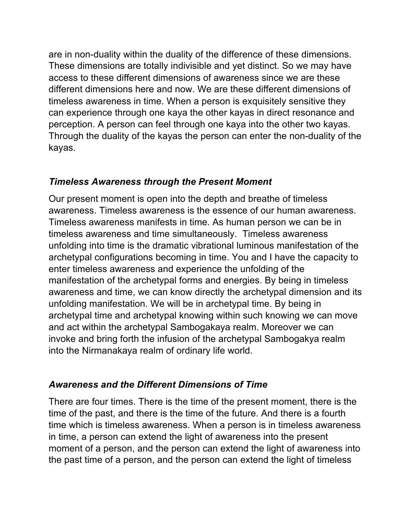are in non-duality within the duality of the difference of these dimensions. These dimensions are totally indivisible and yet distinct. So we may have access to these different dimensions of awareness since we are these different dimensions here and now. We are these different dimensions of timeless awareness in time. When a person is exquisitely sensitive they can experience through one kaya the other kayas in direct resonance and perception. A person can feel through one kaya into the other two kayas. Through the duality of the kayas the person can enter the non-duality of the kayas.

#### *Timeless Awareness through the Present Moment*

Our present moment is open into the depth and breathe of timeless awareness. Timeless awareness is the essence of our human awareness. Timeless awareness manifests in time. As human person we can be in timeless awareness and time simultaneously. Timeless awareness unfolding into time is the dramatic vibrational luminous manifestation of the archetypal configurations becoming in time. You and I have the capacity to enter timeless awareness and experience the unfolding of the manifestation of the archetypal forms and energies. By being in timeless awareness and time, we can know directly the archetypal dimension and its unfolding manifestation. We will be in archetypal time. By being in archetypal time and archetypal knowing within such knowing we can move and act within the archetypal Sambogakaya realm. Moreover we can invoke and bring forth the infusion of the archetypal Sambogakya realm into the Nirmanakaya realm of ordinary life world.

#### *Awareness and the Different Dimensions of Time*

There are four times. There is the time of the present moment, there is the time of the past, and there is the time of the future. And there is a fourth time which is timeless awareness. When a person is in timeless awareness in time, a person can extend the light of awareness into the present moment of a person, and the person can extend the light of awareness into the past time of a person, and the person can extend the light of timeless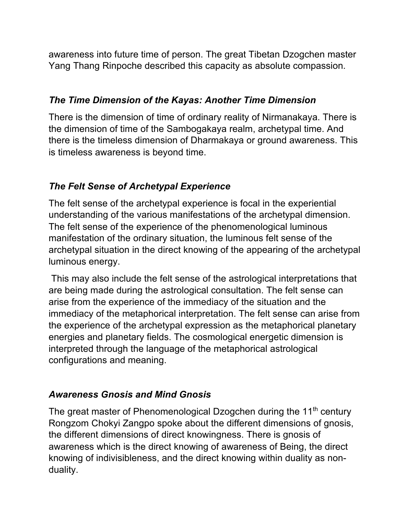awareness into future time of person. The great Tibetan Dzogchen master Yang Thang Rinpoche described this capacity as absolute compassion.

### *The Time Dimension of the Kayas: Another Time Dimension*

There is the dimension of time of ordinary reality of Nirmanakaya. There is the dimension of time of the Sambogakaya realm, archetypal time. And there is the timeless dimension of Dharmakaya or ground awareness. This is timeless awareness is beyond time.

# *The Felt Sense of Archetypal Experience*

The felt sense of the archetypal experience is focal in the experiential understanding of the various manifestations of the archetypal dimension. The felt sense of the experience of the phenomenological luminous manifestation of the ordinary situation, the luminous felt sense of the archetypal situation in the direct knowing of the appearing of the archetypal luminous energy.

This may also include the felt sense of the astrological interpretations that are being made during the astrological consultation. The felt sense can arise from the experience of the immediacy of the situation and the immediacy of the metaphorical interpretation. The felt sense can arise from the experience of the archetypal expression as the metaphorical planetary energies and planetary fields. The cosmological energetic dimension is interpreted through the language of the metaphorical astrological configurations and meaning.

# *Awareness Gnosis and Mind Gnosis*

The great master of Phenomenological Dzogchen during the  $11<sup>th</sup>$  century Rongzom Chokyi Zangpo spoke about the different dimensions of gnosis, the different dimensions of direct knowingness. There is gnosis of awareness which is the direct knowing of awareness of Being, the direct knowing of indivisibleness, and the direct knowing within duality as nonduality.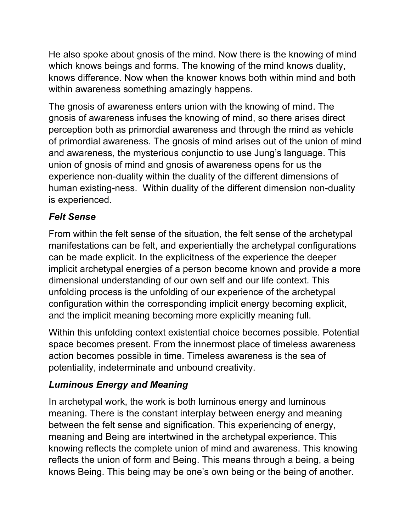He also spoke about gnosis of the mind. Now there is the knowing of mind which knows beings and forms. The knowing of the mind knows duality, knows difference. Now when the knower knows both within mind and both within awareness something amazingly happens.

The gnosis of awareness enters union with the knowing of mind. The gnosis of awareness infuses the knowing of mind, so there arises direct perception both as primordial awareness and through the mind as vehicle of primordial awareness. The gnosis of mind arises out of the union of mind and awareness, the mysterious conjunctio to use Jung's language. This union of gnosis of mind and gnosis of awareness opens for us the experience non-duality within the duality of the different dimensions of human existing-ness. Within duality of the different dimension non-duality is experienced.

# *Felt Sense*

From within the felt sense of the situation, the felt sense of the archetypal manifestations can be felt, and experientially the archetypal configurations can be made explicit. In the explicitness of the experience the deeper implicit archetypal energies of a person become known and provide a more dimensional understanding of our own self and our life context. This unfolding process is the unfolding of our experience of the archetypal configuration within the corresponding implicit energy becoming explicit, and the implicit meaning becoming more explicitly meaning full.

Within this unfolding context existential choice becomes possible. Potential space becomes present. From the innermost place of timeless awareness action becomes possible in time. Timeless awareness is the sea of potentiality, indeterminate and unbound creativity.

# *Luminous Energy and Meaning*

In archetypal work, the work is both luminous energy and luminous meaning. There is the constant interplay between energy and meaning between the felt sense and signification. This experiencing of energy, meaning and Being are intertwined in the archetypal experience. This knowing reflects the complete union of mind and awareness. This knowing reflects the union of form and Being. This means through a being, a being knows Being. This being may be one's own being or the being of another.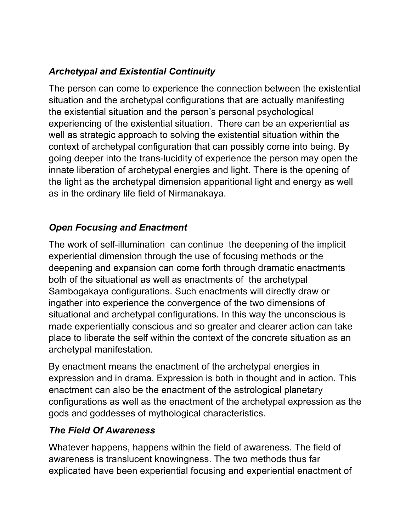# *Archetypal and Existential Continuity*

The person can come to experience the connection between the existential situation and the archetypal configurations that are actually manifesting the existential situation and the person's personal psychological experiencing of the existential situation. There can be an experiential as well as strategic approach to solving the existential situation within the context of archetypal configuration that can possibly come into being. By going deeper into the trans-lucidity of experience the person may open the innate liberation of archetypal energies and light. There is the opening of the light as the archetypal dimension apparitional light and energy as well as in the ordinary life field of Nirmanakaya.

# *Open Focusing and Enactment*

The work of self-illumination can continue the deepening of the implicit experiential dimension through the use of focusing methods or the deepening and expansion can come forth through dramatic enactments both of the situational as well as enactments of the archetypal Sambogakaya configurations. Such enactments will directly draw or ingather into experience the convergence of the two dimensions of situational and archetypal configurations. In this way the unconscious is made experientially conscious and so greater and clearer action can take place to liberate the self within the context of the concrete situation as an archetypal manifestation.

By enactment means the enactment of the archetypal energies in expression and in drama. Expression is both in thought and in action. This enactment can also be the enactment of the astrological planetary configurations as well as the enactment of the archetypal expression as the gods and goddesses of mythological characteristics.

## *The Field Of Awareness*

Whatever happens, happens within the field of awareness. The field of awareness is translucent knowingness. The two methods thus far explicated have been experiential focusing and experiential enactment of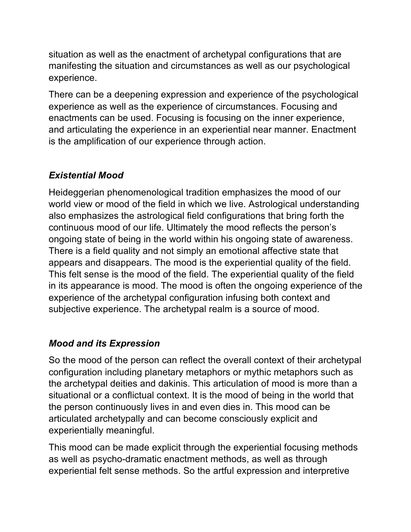situation as well as the enactment of archetypal configurations that are manifesting the situation and circumstances as well as our psychological experience.

There can be a deepening expression and experience of the psychological experience as well as the experience of circumstances. Focusing and enactments can be used. Focusing is focusing on the inner experience, and articulating the experience in an experiential near manner. Enactment is the amplification of our experience through action.

## *Existential Mood*

Heideggerian phenomenological tradition emphasizes the mood of our world view or mood of the field in which we live. Astrological understanding also emphasizes the astrological field configurations that bring forth the continuous mood of our life. Ultimately the mood reflects the person's ongoing state of being in the world within his ongoing state of awareness. There is a field quality and not simply an emotional affective state that appears and disappears. The mood is the experiential quality of the field. This felt sense is the mood of the field. The experiential quality of the field in its appearance is mood. The mood is often the ongoing experience of the experience of the archetypal configuration infusing both context and subjective experience. The archetypal realm is a source of mood.

## *Mood and its Expression*

So the mood of the person can reflect the overall context of their archetypal configuration including planetary metaphors or mythic metaphors such as the archetypal deities and dakinis. This articulation of mood is more than a situational or a conflictual context. It is the mood of being in the world that the person continuously lives in and even dies in. This mood can be articulated archetypally and can become consciously explicit and experientially meaningful.

This mood can be made explicit through the experiential focusing methods as well as psycho-dramatic enactment methods, as well as through experiential felt sense methods. So the artful expression and interpretive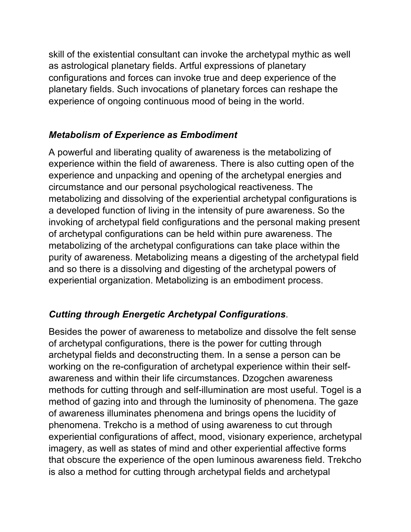skill of the existential consultant can invoke the archetypal mythic as well as astrological planetary fields. Artful expressions of planetary configurations and forces can invoke true and deep experience of the planetary fields. Such invocations of planetary forces can reshape the experience of ongoing continuous mood of being in the world.

## *Metabolism of Experience as Embodiment*

A powerful and liberating quality of awareness is the metabolizing of experience within the field of awareness. There is also cutting open of the experience and unpacking and opening of the archetypal energies and circumstance and our personal psychological reactiveness. The metabolizing and dissolving of the experiential archetypal configurations is a developed function of living in the intensity of pure awareness. So the invoking of archetypal field configurations and the personal making present of archetypal configurations can be held within pure awareness. The metabolizing of the archetypal configurations can take place within the purity of awareness. Metabolizing means a digesting of the archetypal field and so there is a dissolving and digesting of the archetypal powers of experiential organization. Metabolizing is an embodiment process.

# *Cutting through Energetic Archetypal Configurations*.

Besides the power of awareness to metabolize and dissolve the felt sense of archetypal configurations, there is the power for cutting through archetypal fields and deconstructing them. In a sense a person can be working on the re-configuration of archetypal experience within their selfawareness and within their life circumstances. Dzogchen awareness methods for cutting through and self-illumination are most useful. Togel is a method of gazing into and through the luminosity of phenomena. The gaze of awareness illuminates phenomena and brings opens the lucidity of phenomena. Trekcho is a method of using awareness to cut through experiential configurations of affect, mood, visionary experience, archetypal imagery, as well as states of mind and other experiential affective forms that obscure the experience of the open luminous awareness field. Trekcho is also a method for cutting through archetypal fields and archetypal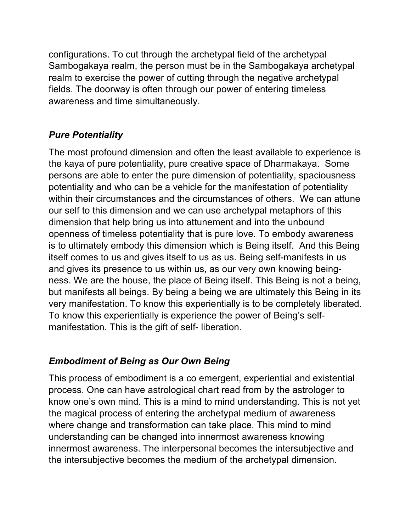configurations. To cut through the archetypal field of the archetypal Sambogakaya realm, the person must be in the Sambogakaya archetypal realm to exercise the power of cutting through the negative archetypal fields. The doorway is often through our power of entering timeless awareness and time simultaneously.

# *Pure Potentiality*

The most profound dimension and often the least available to experience is the kaya of pure potentiality, pure creative space of Dharmakaya. Some persons are able to enter the pure dimension of potentiality, spaciousness potentiality and who can be a vehicle for the manifestation of potentiality within their circumstances and the circumstances of others. We can attune our self to this dimension and we can use archetypal metaphors of this dimension that help bring us into attunement and into the unbound openness of timeless potentiality that is pure love. To embody awareness is to ultimately embody this dimension which is Being itself. And this Being itself comes to us and gives itself to us as us. Being self-manifests in us and gives its presence to us within us, as our very own knowing beingness. We are the house, the place of Being itself. This Being is not a being, but manifests all beings. By being a being we are ultimately this Being in its very manifestation. To know this experientially is to be completely liberated. To know this experientially is experience the power of Being's selfmanifestation. This is the gift of self- liberation.

## *Embodiment of Being as Our Own Being*

This process of embodiment is a co emergent, experiential and existential process. One can have astrological chart read from by the astrologer to know one's own mind. This is a mind to mind understanding. This is not yet the magical process of entering the archetypal medium of awareness where change and transformation can take place. This mind to mind understanding can be changed into innermost awareness knowing innermost awareness. The interpersonal becomes the intersubjective and the intersubjective becomes the medium of the archetypal dimension.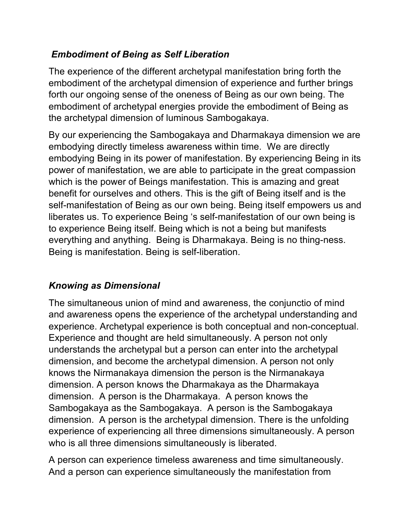# *Embodiment of Being as Self Liberation*

The experience of the different archetypal manifestation bring forth the embodiment of the archetypal dimension of experience and further brings forth our ongoing sense of the oneness of Being as our own being. The embodiment of archetypal energies provide the embodiment of Being as the archetypal dimension of luminous Sambogakaya.

By our experiencing the Sambogakaya and Dharmakaya dimension we are embodying directly timeless awareness within time. We are directly embodying Being in its power of manifestation. By experiencing Being in its power of manifestation, we are able to participate in the great compassion which is the power of Beings manifestation. This is amazing and great benefit for ourselves and others. This is the gift of Being itself and is the self-manifestation of Being as our own being. Being itself empowers us and liberates us. To experience Being 's self-manifestation of our own being is to experience Being itself. Being which is not a being but manifests everything and anything. Being is Dharmakaya. Being is no thing-ness. Being is manifestation. Being is self-liberation.

## *Knowing as Dimensional*

The simultaneous union of mind and awareness, the conjunctio of mind and awareness opens the experience of the archetypal understanding and experience. Archetypal experience is both conceptual and non-conceptual. Experience and thought are held simultaneously. A person not only understands the archetypal but a person can enter into the archetypal dimension, and become the archetypal dimension. A person not only knows the Nirmanakaya dimension the person is the Nirmanakaya dimension. A person knows the Dharmakaya as the Dharmakaya dimension. A person is the Dharmakaya. A person knows the Sambogakaya as the Sambogakaya. A person is the Sambogakaya dimension. A person is the archetypal dimension. There is the unfolding experience of experiencing all three dimensions simultaneously. A person who is all three dimensions simultaneously is liberated.

A person can experience timeless awareness and time simultaneously. And a person can experience simultaneously the manifestation from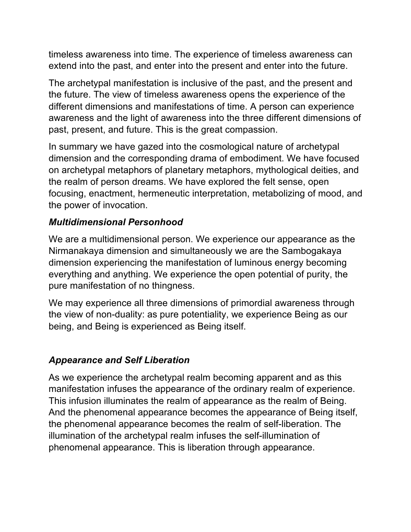timeless awareness into time. The experience of timeless awareness can extend into the past, and enter into the present and enter into the future.

The archetypal manifestation is inclusive of the past, and the present and the future. The view of timeless awareness opens the experience of the different dimensions and manifestations of time. A person can experience awareness and the light of awareness into the three different dimensions of past, present, and future. This is the great compassion.

In summary we have gazed into the cosmological nature of archetypal dimension and the corresponding drama of embodiment. We have focused on archetypal metaphors of planetary metaphors, mythological deities, and the realm of person dreams. We have explored the felt sense, open focusing, enactment, hermeneutic interpretation, metabolizing of mood, and the power of invocation.

#### *Multidimensional Personhood*

We are a multidimensional person. We experience our appearance as the Nirmanakaya dimension and simultaneously we are the Sambogakaya dimension experiencing the manifestation of luminous energy becoming everything and anything. We experience the open potential of purity, the pure manifestation of no thingness.

We may experience all three dimensions of primordial awareness through the view of non-duality: as pure potentiality, we experience Being as our being, and Being is experienced as Being itself.

## *Appearance and Self Liberation*

As we experience the archetypal realm becoming apparent and as this manifestation infuses the appearance of the ordinary realm of experience. This infusion illuminates the realm of appearance as the realm of Being. And the phenomenal appearance becomes the appearance of Being itself, the phenomenal appearance becomes the realm of self-liberation. The illumination of the archetypal realm infuses the self-illumination of phenomenal appearance. This is liberation through appearance.